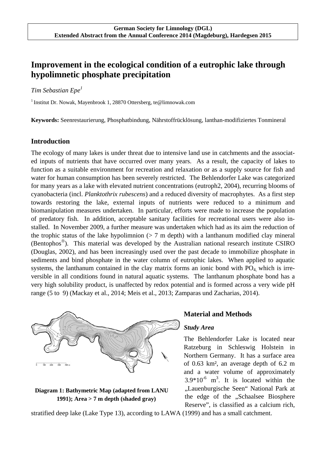# **Improvement in the ecological condition of a eutrophic lake through hypolimnetic phosphate precipitation**

# *Tim Sebastian Epe<sup>1</sup>*

<sup>1</sup> Institut Dr. Nowak, Mayenbrook 1, 28870 Ottersberg, te @limnowak.com

**Keywords:** Seenrestaurierung, Phosphatbindung, Nährstoffrücklösung, lanthan-modifiziertes Tonmineral

# **Introduction**

The ecology of many lakes is under threat due to intensive land use in catchments and the associated inputs of nutrients that have occurred over many years. As a result, the capacity of lakes to function as a suitable environment for recreation and relaxation or as a supply source for fish and water for human consumption has been severely restricted. The Behlendorfer Lake was categorized for many years as a lake with elevated nutrient concentrations (eutroph2, 2004), recurring blooms of cyanobacteria (incl. *Planktothrix rubescens*) and a reduced diversity of macrophytes. As a first step towards restoring the lake, external inputs of nutrients were reduced to a minimum and biomanipulation measures undertaken. In particular, efforts were made to increase the population of predatory fish. In addition, acceptable sanitary facilities for recreational users were also installed. In November 2009, a further measure was undertaken which had as its aim the reduction of the trophic status of the lake hypolimnion  $(> 7 \text{ m depth})$  with a lanthanum modified clay mineral (Bentophos<sup>®</sup>). This material was developed by the Australian national research institute CSIRO (Douglas, 2002), and has been increasingly used over the past decade to immobilize phosphate in sediments and bind phosphate in the water column of eutrophic lakes. When applied to aquatic systems, the lanthanum contained in the clay matrix forms an ionic bond with  $PO<sub>4</sub>$  which is irreversible in all conditions found in natural aquatic systems. The lanthanum phosphate bond has a very high solubility product, is unaffected by redox potential and is formed across a very wide pH range (5 to 9) (Mackay et al., 2014; Meis et al., 2013; Zamparas und Zacharias, 2014).



## **Diagram 1: Bathymetric Map (adapted from LANU 1991); Area > 7 m depth (shaded gray)**

#### **Material and Methods**

#### *Study Area*

The Behlendorfer Lake is located near Ratzeburg in Schleswig Holstein in Northern Germany. It has a surface area of 0.63 km², an average depth of 6.2 m and a water volume of approximately  $3.9*10^{-6}$  m<sup>3</sup>. It is located within the "Lauenburgische Seen" National Park at the edge of the "Schaalsee Biosphere Reserve", is classified as a calcium rich.

stratified deep lake (Lake Type 13), according to LAWA (1999) and has a small catchment.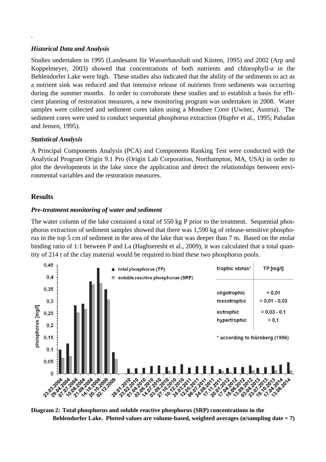# *Historical Data and Analysis*

.

Studies undertaken in 1995 (Landesamt für Wasserhaushalt und Küsten, 1995) and 2002 (Arp and Koppelmeyer, 2003) showed that concentrations of both nutrients and chlorophyll-*a* in the Behlendorfer Lake were high. These studies also indicated that the ability of the sediments to act as a nutrient sink was reduced and that intensive release of nutrients from sediments was occurring during the summer months. In order to corroborate these studies and to establish a basis for efficient planning of restoration measures, a new monitoring program was undertaken in 2008. Water samples were collected and sediment cores taken using a Mondsee Corer (Uwitec, Austria). The sediment cores were used to conduct sequential phosphorus extraction (Hupfer et al., 1995; Paludan and Jensen, 1995).

# *Statistical Analysis*

A Principal Components Analysis (PCA) and Components Ranking Test were conducted with the Analytical Program Origin 9.1 Pro (Origin Lab Corporation, Northampton, MA, USA) in order to plot the developments in the lake since the application and detect the relationships between environmental variables and the restoration measures.

# **Results**

## *Pre-treatment monitoring of water and sediment*

The water column of the lake contained a total of 550 kg P prior to the treatment. Sequential phosphorus extraction of sediment samples showed that there was 1,590 kg of release-sensitive phosphorus in the top 5 cm of sediment in the area of the lake that was deeper than 7 m. Based on the molar binding ratio of 1:1 between P and La (Haghseresht et al., 2009), it was calculated that a total quantity of 214 t of the clay material would be required to bind these two phosphorus pools.



**Diagram 2: Total phosphorus and soluble reactive phosphorus (SRP) concentrations in the Behlendorfer Lake. Plotted values are volume-based, weighted averages (n/sampling date = 7)**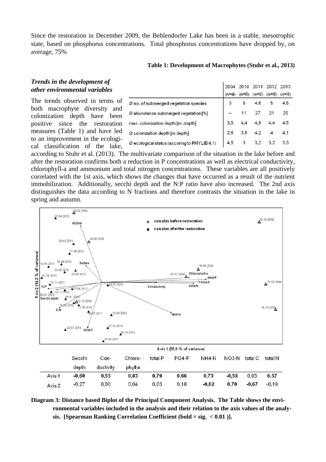Since the restoration in December 2009, the Behlendorfer Lake has been in a stable, mesotrophic state, based on phosphorus concentrations. Total phosphorus concentrations have dropped by, on average, 75%

|                                                          | 2004    |         |         | 2010 2011 2012 2013 |         |
|----------------------------------------------------------|---------|---------|---------|---------------------|---------|
|                                                          | $(n=4)$ | $(n=8)$ | $(n=8)$ | $(n=8)$             | $(n=8)$ |
| $\varnothing$ no. of submerged vegetation species        | 3       | 5       | 4.6     | 5                   | 4,5     |
| Ø abundance submerged vegetation [%]                     | u.      | 11      | 27      | 21                  | 25      |
| max.colonization depth [m, depth]                        | 3.5     |         | 49      | 4.4                 | 4,5     |
| Ø colonization depth [m depth]                           | 2.6     | 3.6     | 4.2     | 4                   | 4,1     |
| $\varnothing$ ecological status (accoring to PHYLIB 4.1) | 4.5     | 3       | 3.2     | 3.2                 | 3.3     |

**Table 1: Development of Macrophytes (Stuhr et al., 2013)** 

# *Trends in the development of other environmental variables*

The trends observed in terms of both macrophyte diversity and colonization depth have been positive since the restoration measures (Table 1) and have led to an improvement in the ecological classification of the lake,

according to Stuhr et al. (2013). The multivariate comparison of the situation in the lake before and after the restoration confirms both a reduction in P concentrations as well as electrical conductivity, chlorophyll-a and ammonium and total nitrogen concentrations. These variables are all positively correlated with the 1st axis, which shows the changes that have occurred as a result of the nutrient immobilization. Additionally, secchi depth and the N:P ratio have also increased. The 2nd axis distinguishes the data according to N fractions and therefore contrasts the situation in the lake in spring and autumn.



**Diagram 3: Distance based Biplot of the Principal Component Analysis. The Table shows the environmental variables included in the analysis and their relation to the axis values of the analysis. [Spearman Ranking Correlation Coefficient (bold = sig. < 0.01 )].**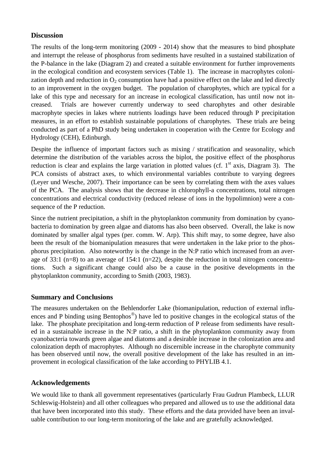# **Discussion**

The results of the long-term monitoring (2009 - 2014) show that the measures to bind phosphate and interrupt the release of phosphorus from sediments have resulted in a sustained stabilization of the P-balance in the lake (Diagram 2) and created a suitable environment for further improvements in the ecological condition and ecosystem services (Table 1). The increase in macrophytes colonization depth and reduction in  $O_2$  consumption have had a positive effect on the lake and led directly to an improvement in the oxygen budget. The population of charophytes, which are typical for a lake of this type and necessary for an increase in ecological classification, has until now not increased. Trials are however currently underway to seed charophytes and other desirable macrophyte species in lakes where nutrients loadings have been reduced through P precipitation measures, in an effort to establish sustainable populations of charophytes. These trials are being conducted as part of a PhD study being undertaken in cooperation with the Centre for Ecology and Hydrology (CEH), Edinburgh.

Despite the influence of important factors such as mixing / stratification and seasonality, which determine the distribution of the variables across the biplot, the positive effect of the phosphorus reduction is clear and explains the large variation in plotted values (cf.  $1<sup>st</sup>$  axis, Diagram 3). The PCA consists of abstract axes, to which environmental variables contribute to varying degrees (Leyer und Wesche, 2007). Their importance can be seen by correlating them with the axes values of the PCA. The analysis shows that the decrease in chlorophyll-a concentrations, total nitrogen concentrations and electrical conductivity (reduced release of ions in the hypolimnion) were a consequence of the P reduction.

Since the nutrient precipitation, a shift in the phytoplankton community from domination by cyanobacteria to domination by green algae and diatoms has also been observed. Overall, the lake is now dominated by smaller algal types (per. comm. W. Arp). This shift may, to some degree, have also been the result of the biomanipulation measures that were undertaken in the lake prior to the phosphorus precipitation. Also noteworthy is the change in the N:P ratio which increased from an average of 33:1 (n=8) to an average of 154:1 (n=22), despite the reduction in total nitrogen concentrations. Such a significant change could also be a cause in the positive developments in the phytoplankton community, according to Smith (2003, 1983).

# **Summary and Conclusions**

The measures undertaken on the Behlendorfer Lake (biomanipulation, reduction of external influences and P binding using Bentophos<sup>®</sup>) have led to positive changes in the ecological status of the lake. The phosphate precipitation and long-term reduction of P release from sediments have resulted in a sustainable increase in the N:P ratio, a shift in the phytoplankton community away from cyanobacteria towards green algae and diatoms and a desirable increase in the colonization area and colonization depth of macrophytes. Although no discernible increase in the charophyte community has been observed until now, the overall positive development of the lake has resulted in an improvement in ecological classification of the lake according to PHYLIB 4.1.

# **Acknowledgements**

We would like to thank all government representatives (particularly Frau Gudrun Plambeck, LLUR Schleswig-Holstein) and all other colleagues who prepared and allowed us to use the additional data that have been incorporated into this study. These efforts and the data provided have been an invaluable contribution to our long-term monitoring of the lake and are gratefully acknowledged.